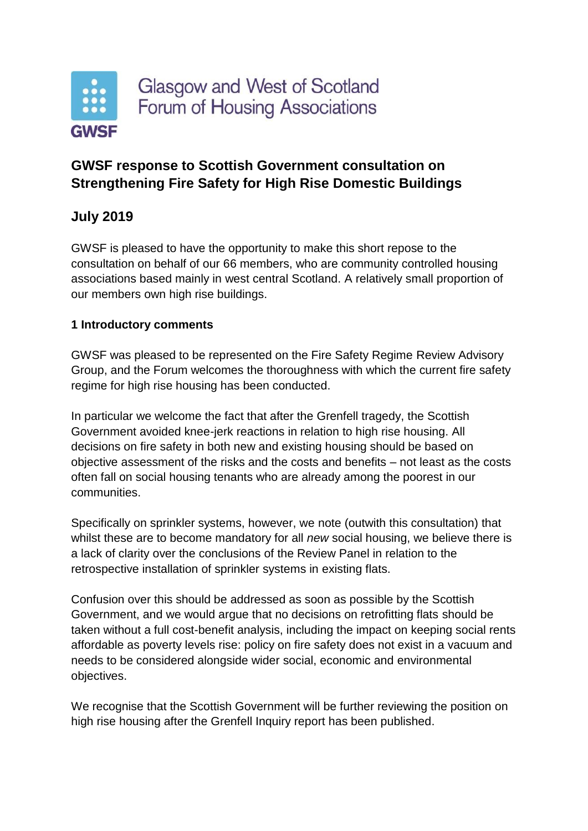

## **GWSF response to Scottish Government consultation on Strengthening Fire Safety for High Rise Domestic Buildings**

# **July 2019**

GWSF is pleased to have the opportunity to make this short repose to the consultation on behalf of our 66 members, who are community controlled housing associations based mainly in west central Scotland. A relatively small proportion of our members own high rise buildings.

### **1 Introductory comments**

GWSF was pleased to be represented on the Fire Safety Regime Review Advisory Group, and the Forum welcomes the thoroughness with which the current fire safety regime for high rise housing has been conducted.

In particular we welcome the fact that after the Grenfell tragedy, the Scottish Government avoided knee-jerk reactions in relation to high rise housing. All decisions on fire safety in both new and existing housing should be based on objective assessment of the risks and the costs and benefits – not least as the costs often fall on social housing tenants who are already among the poorest in our communities.

Specifically on sprinkler systems, however, we note (outwith this consultation) that whilst these are to become mandatory for all *new* social housing, we believe there is a lack of clarity over the conclusions of the Review Panel in relation to the retrospective installation of sprinkler systems in existing flats.

Confusion over this should be addressed as soon as possible by the Scottish Government, and we would argue that no decisions on retrofitting flats should be taken without a full cost-benefit analysis, including the impact on keeping social rents affordable as poverty levels rise: policy on fire safety does not exist in a vacuum and needs to be considered alongside wider social, economic and environmental objectives.

We recognise that the Scottish Government will be further reviewing the position on high rise housing after the Grenfell Inquiry report has been published.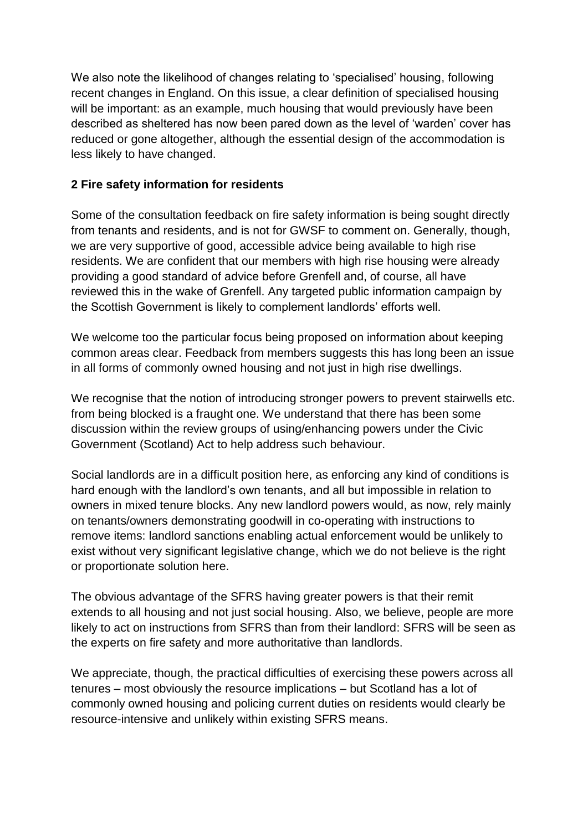We also note the likelihood of changes relating to 'specialised' housing, following recent changes in England. On this issue, a clear definition of specialised housing will be important: as an example, much housing that would previously have been described as sheltered has now been pared down as the level of 'warden' cover has reduced or gone altogether, although the essential design of the accommodation is less likely to have changed.

### **2 Fire safety information for residents**

Some of the consultation feedback on fire safety information is being sought directly from tenants and residents, and is not for GWSF to comment on. Generally, though, we are very supportive of good, accessible advice being available to high rise residents. We are confident that our members with high rise housing were already providing a good standard of advice before Grenfell and, of course, all have reviewed this in the wake of Grenfell. Any targeted public information campaign by the Scottish Government is likely to complement landlords' efforts well.

We welcome too the particular focus being proposed on information about keeping common areas clear. Feedback from members suggests this has long been an issue in all forms of commonly owned housing and not just in high rise dwellings.

We recognise that the notion of introducing stronger powers to prevent stairwells etc. from being blocked is a fraught one. We understand that there has been some discussion within the review groups of using/enhancing powers under the Civic Government (Scotland) Act to help address such behaviour.

Social landlords are in a difficult position here, as enforcing any kind of conditions is hard enough with the landlord's own tenants, and all but impossible in relation to owners in mixed tenure blocks. Any new landlord powers would, as now, rely mainly on tenants/owners demonstrating goodwill in co-operating with instructions to remove items: landlord sanctions enabling actual enforcement would be unlikely to exist without very significant legislative change, which we do not believe is the right or proportionate solution here.

The obvious advantage of the SFRS having greater powers is that their remit extends to all housing and not just social housing. Also, we believe, people are more likely to act on instructions from SFRS than from their landlord: SFRS will be seen as the experts on fire safety and more authoritative than landlords.

We appreciate, though, the practical difficulties of exercising these powers across all tenures – most obviously the resource implications – but Scotland has a lot of commonly owned housing and policing current duties on residents would clearly be resource-intensive and unlikely within existing SFRS means.